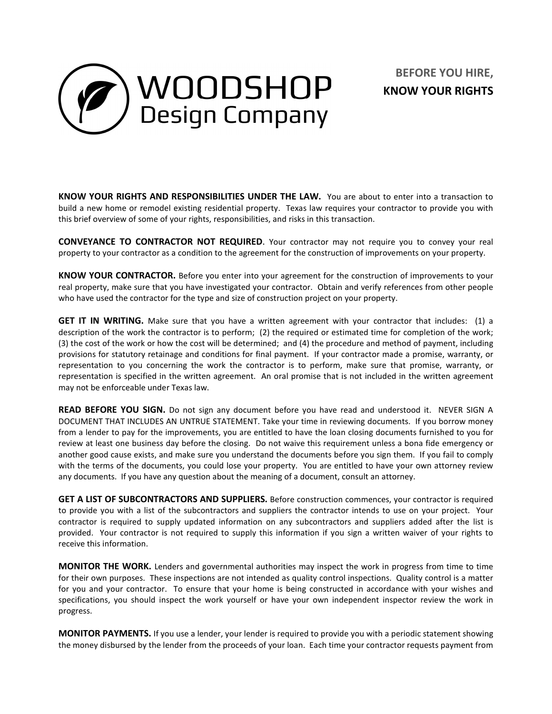

## **BEFORE YOU HIRE, KNOW YOUR RIGHTS**

**KNOW YOUR RIGHTS AND RESPONSIBILITIES UNDER THE LAW.** You are about to enter into a transaction to build a new home or remodel existing residential property. Texas law requires your contractor to provide you with this brief overview of some of your rights, responsibilities, and risks in this transaction.

**CONVEYANCE TO CONTRACTOR NOT REQUIRED**. Your contractor may not require you to convey your real property to your contractor as a condition to the agreement for the construction of improvements on your property.

**KNOW YOUR CONTRACTOR.** Before you enter into your agreement for the construction of improvements to your real property, make sure that you have investigated your contractor. Obtain and verify references from other people who have used the contractor for the type and size of construction project on your property.

**GET IT IN WRITING.** Make sure that you have a written agreement with your contractor that includes: (1) a description of the work the contractor is to perform; (2) the required or estimated time for completion of the work; (3) the cost of the work or how the cost will be determined; and (4) the procedure and method of payment, including provisions for statutory retainage and conditions for final payment. If your contractor made a promise, warranty, or representation to you concerning the work the contractor is to perform, make sure that promise, warranty, or representation is specified in the written agreement. An oral promise that is not included in the written agreement may not be enforceable under Texas law.

**READ BEFORE YOU SIGN.** Do not sign any document before you have read and understood it. NEVER SIGN A DOCUMENT THAT INCLUDES AN UNTRUE STATEMENT. Take your time in reviewing documents. If you borrow money from a lender to pay for the improvements, you are entitled to have the loan closing documents furnished to you for review at least one business day before the closing. Do not waive this requirement unless a bona fide emergency or another good cause exists, and make sure you understand the documents before you sign them. If you fail to comply with the terms of the documents, you could lose your property. You are entitled to have your own attorney review any documents. If you have any question about the meaning of a document, consult an attorney.

**GET A LIST OF SUBCONTRACTORS AND SUPPLIERS.** Before construction commences, your contractor is required to provide you with a list of the subcontractors and suppliers the contractor intends to use on your project. Your contractor is required to supply updated information on any subcontractors and suppliers added after the list is provided. Your contractor is not required to supply this information if you sign a written waiver of your rights to receive this information.

**MONITOR THE WORK.** Lenders and governmental authorities may inspect the work in progress from time to time for their own purposes. These inspections are not intended as quality control inspections. Quality control is a matter for you and your contractor. To ensure that your home is being constructed in accordance with your wishes and specifications, you should inspect the work yourself or have your own independent inspector review the work in progress.

**MONITOR PAYMENTS.** If you use a lender, your lender is required to provide you with a periodic statement showing the money disbursed by the lender from the proceeds of your loan. Each time your contractor requests payment from